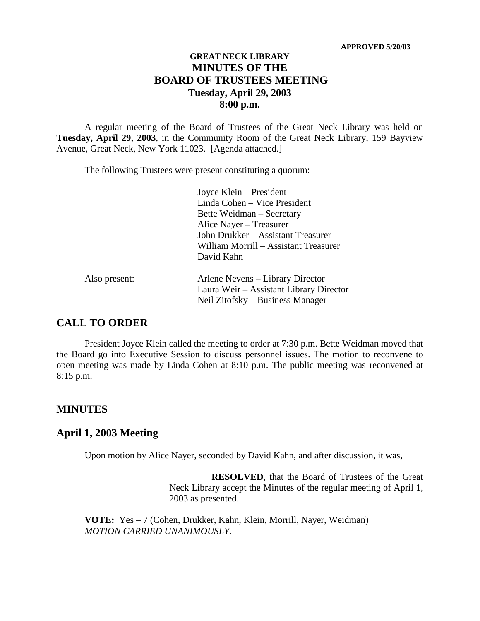#### **GREAT NECK LIBRARY MINUTES OF THE BOARD OF TRUSTEES MEETING Tuesday, April 29, 2003 8:00 p.m.**

A regular meeting of the Board of Trustees of the Great Neck Library was held on **Tuesday, April 29, 2003**, in the Community Room of the Great Neck Library, 159 Bayview Avenue, Great Neck, New York 11023. [Agenda attached.]

The following Trustees were present constituting a quorum:

Joyce Klein – President Linda Cohen – Vice President Bette Weidman – Secretary Alice Nayer – Treasurer John Drukker – Assistant Treasurer William Morrill – Assistant Treasurer David Kahn

| Also present: | Arlene Nevens – Library Director        |
|---------------|-----------------------------------------|
|               | Laura Weir – Assistant Library Director |
|               | Neil Zitofsky – Business Manager        |

#### **CALL TO ORDER**

President Joyce Klein called the meeting to order at 7:30 p.m. Bette Weidman moved that the Board go into Executive Session to discuss personnel issues. The motion to reconvene to open meeting was made by Linda Cohen at 8:10 p.m. The public meeting was reconvened at 8:15 p.m.

#### **MINUTES**

# **April 1, 2003 Meeting**

Upon motion by Alice Nayer, seconded by David Kahn, and after discussion, it was,

**RESOLVED**, that the Board of Trustees of the Great Neck Library accept the Minutes of the regular meeting of April 1, 2003 as presented.

**VOTE:** Yes – 7 (Cohen, Drukker, Kahn, Klein, Morrill, Nayer, Weidman) *MOTION CARRIED UNANIMOUSLY.*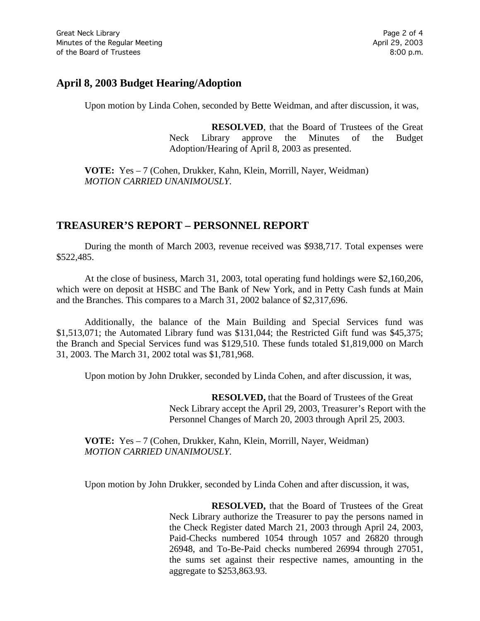## **April 8, 2003 Budget Hearing/Adoption**

Upon motion by Linda Cohen, seconded by Bette Weidman, and after discussion, it was,

**RESOLVED**, that the Board of Trustees of the Great Neck Library approve the Minutes of the Budget Adoption/Hearing of April 8, 2003 as presented.

**VOTE:** Yes – 7 (Cohen, Drukker, Kahn, Klein, Morrill, Nayer, Weidman) *MOTION CARRIED UNANIMOUSLY.*

## **TREASURER'S REPORT – PERSONNEL REPORT**

During the month of March 2003, revenue received was \$938,717. Total expenses were \$522,485.

At the close of business, March 31, 2003, total operating fund holdings were \$2,160,206, which were on deposit at HSBC and The Bank of New York, and in Petty Cash funds at Main and the Branches. This compares to a March 31, 2002 balance of \$2,317,696.

Additionally, the balance of the Main Building and Special Services fund was \$1,513,071; the Automated Library fund was \$131,044; the Restricted Gift fund was \$45,375; the Branch and Special Services fund was \$129,510. These funds totaled \$1,819,000 on March 31, 2003. The March 31, 2002 total was \$1,781,968.

Upon motion by John Drukker, seconded by Linda Cohen, and after discussion, it was,

**RESOLVED,** that the Board of Trustees of the Great Neck Library accept the April 29, 2003, Treasurer's Report with the Personnel Changes of March 20, 2003 through April 25, 2003.

**VOTE:** Yes – 7 (Cohen, Drukker, Kahn, Klein, Morrill, Nayer, Weidman) *MOTION CARRIED UNANIMOUSLY.*

Upon motion by John Drukker, seconded by Linda Cohen and after discussion, it was,

**RESOLVED,** that the Board of Trustees of the Great Neck Library authorize the Treasurer to pay the persons named in the Check Register dated March 21, 2003 through April 24, 2003, Paid-Checks numbered 1054 through 1057 and 26820 through 26948, and To-Be-Paid checks numbered 26994 through 27051, the sums set against their respective names, amounting in the aggregate to \$253,863.93.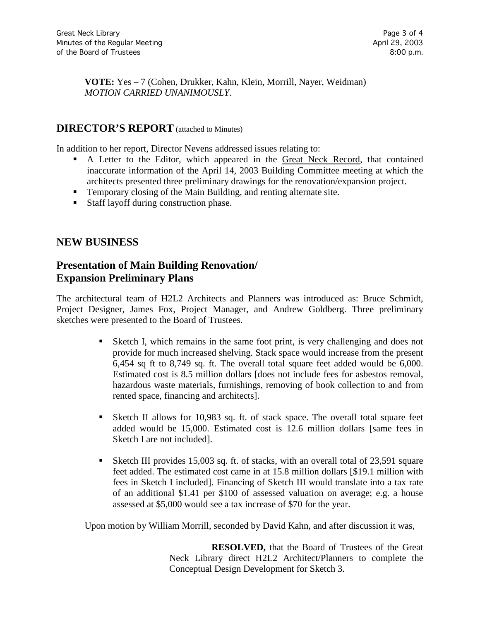**VOTE:** Yes – 7 (Cohen, Drukker, Kahn, Klein, Morrill, Nayer, Weidman) *MOTION CARRIED UNANIMOUSLY.*

#### **DIRECTOR'S REPORT** (attached to Minutes)

In addition to her report, Director Nevens addressed issues relating to:

- A Letter to the Editor, which appeared in the Great Neck Record, that contained inaccurate information of the April 14, 2003 Building Committee meeting at which the architects presented three preliminary drawings for the renovation/expansion project.
- Temporary closing of the Main Building, and renting alternate site.
- Staff layoff during construction phase.

#### **NEW BUSINESS**

# **Presentation of Main Building Renovation/ Expansion Preliminary Plans**

The architectural team of H2L2 Architects and Planners was introduced as: Bruce Schmidt, Project Designer, James Fox, Project Manager, and Andrew Goldberg. Three preliminary sketches were presented to the Board of Trustees.

- Sketch I, which remains in the same foot print, is very challenging and does not provide for much increased shelving. Stack space would increase from the present 6,454 sq ft to 8,749 sq. ft. The overall total square feet added would be 6,000. Estimated cost is 8.5 million dollars [does not include fees for asbestos removal, hazardous waste materials, furnishings, removing of book collection to and from rented space, financing and architects].
- Sketch II allows for 10,983 sq. ft. of stack space. The overall total square feet added would be 15,000. Estimated cost is 12.6 million dollars [same fees in Sketch I are not included].
- Sketch III provides 15,003 sq. ft. of stacks, with an overall total of 23,591 square feet added. The estimated cost came in at 15.8 million dollars [\$19.1 million with fees in Sketch I included]. Financing of Sketch III would translate into a tax rate of an additional \$1.41 per \$100 of assessed valuation on average; e.g. a house assessed at \$5,000 would see a tax increase of \$70 for the year.

Upon motion by William Morrill, seconded by David Kahn, and after discussion it was,

**RESOLVED,** that the Board of Trustees of the Great Neck Library direct H2L2 Architect/Planners to complete the Conceptual Design Development for Sketch 3.